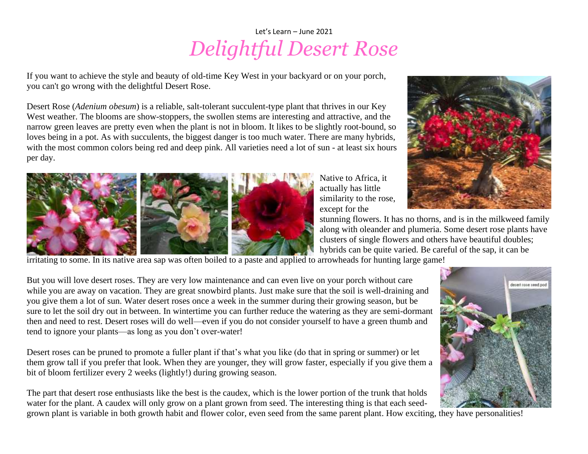## Let's Learn – June 2021 *Delightful Desert Rose*

If you want to achieve the style and beauty of old-time Key West in your backyard or on your porch, you can't go wrong with the delightful Desert Rose.

Desert Rose (*Adenium obesum*) is a reliable, salt-tolerant succulent-type plant that thrives in our Key West weather. The blooms are show-stoppers, the swollen stems are interesting and attractive, and the narrow green leaves are pretty even when the plant is not in bloom. It likes to be slightly root-bound, so loves being in a pot. As with succulents, the biggest danger is too much water. There are many hybrids, with the most common colors being red and deep pink. All varieties need a lot of sun - at least six hours per day.



Native to Africa, it actually has little similarity to the rose, except for the



stunning flowers. It has no thorns, and is in the milkweed family along with oleander and plumeria. Some desert rose plants have clusters of single flowers and others have beautiful doubles; hybrids can be quite varied. Be careful of the sap, it can be

irritating to some. In its native area sap was often boiled to a paste and applied to arrowheads for hunting large game!

But you will love desert roses. They are very low maintenance and can even live on your porch without care while you are away on vacation. They are great snowbird plants. Just make sure that the soil is well-draining and you give them a lot of sun. Water desert roses once a week in the summer during their growing season, but be sure to let the soil dry out in between. In wintertime you can further reduce the watering as they are semi-dormant then and need to rest. Desert roses will do well—even if you do not consider yourself to have a green thumb and tend to ignore your plants—as long as you don't over-water!

Desert roses can be pruned to promote a fuller plant if that's what you like (do that in spring or summer) or let them grow tall if you prefer that look. When they are younger, they will grow faster, especially if you give them a bit of bloom fertilizer every 2 weeks (lightly!) during growing season.

The part that desert rose enthusiasts like the best is the caudex, which is the lower portion of the trunk that holds water for the plant. A caudex will only grow on a plant grown from seed. The interesting thing is that each seed-

letert rate seed pod

grown plant is variable in both growth habit and flower color, even seed from the same parent plant. How exciting, they have personalities!